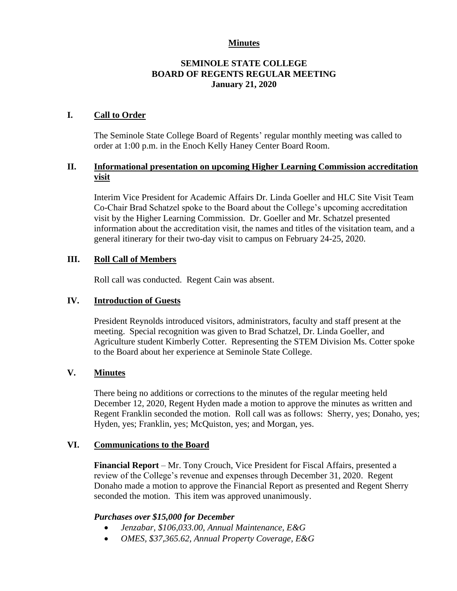#### **Minutes**

## **SEMINOLE STATE COLLEGE BOARD OF REGENTS REGULAR MEETING January 21, 2020**

### **I. Call to Order**

The Seminole State College Board of Regents' regular monthly meeting was called to order at 1:00 p.m. in the Enoch Kelly Haney Center Board Room.

# **II. Informational presentation on upcoming Higher Learning Commission accreditation visit**

Interim Vice President for Academic Affairs Dr. Linda Goeller and HLC Site Visit Team Co-Chair Brad Schatzel spoke to the Board about the College's upcoming accreditation visit by the Higher Learning Commission. Dr. Goeller and Mr. Schatzel presented information about the accreditation visit, the names and titles of the visitation team, and a general itinerary for their two-day visit to campus on February 24-25, 2020.

### **III. Roll Call of Members**

Roll call was conducted. Regent Cain was absent.

# **IV. Introduction of Guests**

President Reynolds introduced visitors, administrators, faculty and staff present at the meeting. Special recognition was given to Brad Schatzel, Dr. Linda Goeller, and Agriculture student Kimberly Cotter. Representing the STEM Division Ms. Cotter spoke to the Board about her experience at Seminole State College.

# **V. Minutes**

There being no additions or corrections to the minutes of the regular meeting held December 12, 2020, Regent Hyden made a motion to approve the minutes as written and Regent Franklin seconded the motion. Roll call was as follows: Sherry, yes; Donaho, yes; Hyden, yes; Franklin, yes; McQuiston, yes; and Morgan, yes.

#### **VI. Communications to the Board**

**Financial Report** – Mr. Tony Crouch, Vice President for Fiscal Affairs, presented a review of the College's revenue and expenses through December 31, 2020. Regent Donaho made a motion to approve the Financial Report as presented and Regent Sherry seconded the motion. This item was approved unanimously.

#### *Purchases over \$15,000 for December*

- *Jenzabar, \$106,033.00, Annual Maintenance, E&G*
- *OMES, \$37,365.62, Annual Property Coverage, E&G*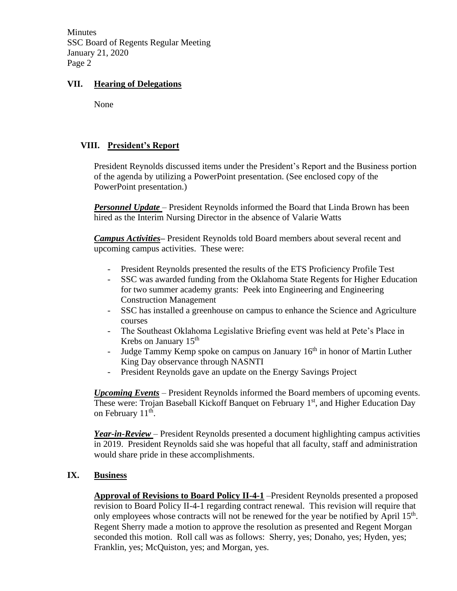Minutes SSC Board of Regents Regular Meeting January 21, 2020 Page 2

# **VII. Hearing of Delegations**

None

# **VIII. President's Report**

President Reynolds discussed items under the President's Report and the Business portion of the agenda by utilizing a PowerPoint presentation. (See enclosed copy of the PowerPoint presentation.)

*Personnel Update* – President Reynolds informed the Board that Linda Brown has been hired as the Interim Nursing Director in the absence of Valarie Watts

*Campus Activities***–** President Reynolds told Board members about several recent and upcoming campus activities. These were:

- President Reynolds presented the results of the ETS Proficiency Profile Test
- SSC was awarded funding from the Oklahoma State Regents for Higher Education for two summer academy grants: Peek into Engineering and Engineering Construction Management
- SSC has installed a greenhouse on campus to enhance the Science and Agriculture courses
- The Southeast Oklahoma Legislative Briefing event was held at Pete's Place in Krebs on January 15<sup>th</sup>
- Judge Tammy Kemp spoke on campus on January  $16<sup>th</sup>$  in honor of Martin Luther King Day observance through NASNTI
- President Reynolds gave an update on the Energy Savings Project

*Upcoming Events* – President Reynolds informed the Board members of upcoming events. These were: Trojan Baseball Kickoff Banquet on February 1<sup>st</sup>, and Higher Education Day on February  $11^{\text{th}}$ .

*Year-in-Review* – President Reynolds presented a document highlighting campus activities in 2019. President Reynolds said she was hopeful that all faculty, staff and administration would share pride in these accomplishments.

#### **IX. Business**

**Approval of Revisions to Board Policy II-4-1** –President Reynolds presented a proposed revision to Board Policy II-4-1 regarding contract renewal. This revision will require that only employees whose contracts will not be renewed for the year be notified by April  $15<sup>th</sup>$ . Regent Sherry made a motion to approve the resolution as presented and Regent Morgan seconded this motion. Roll call was as follows: Sherry, yes; Donaho, yes; Hyden, yes; Franklin, yes; McQuiston, yes; and Morgan, yes.